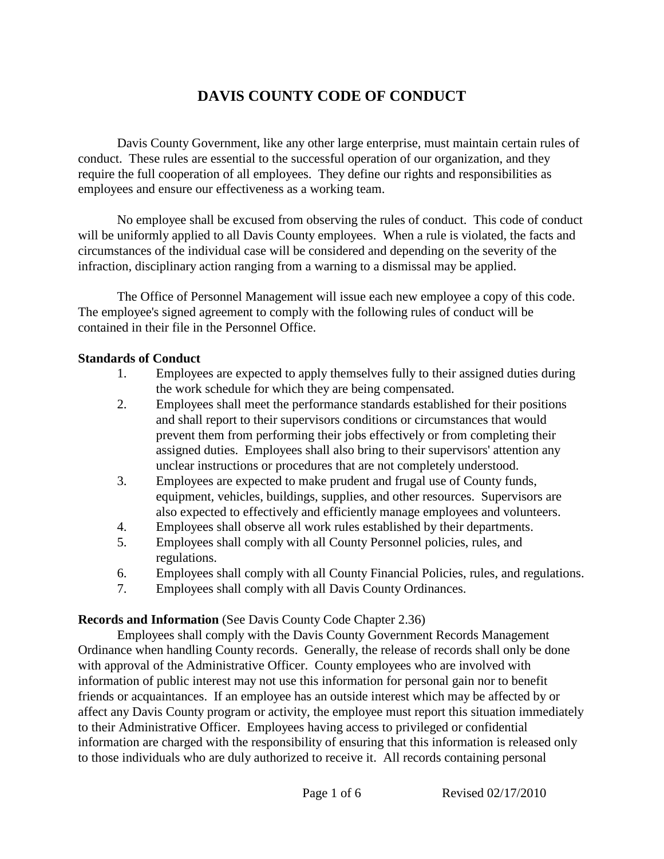# **DAVIS COUNTY CODE OF CONDUCT**

Davis County Government, like any other large enterprise, must maintain certain rules of conduct. These rules are essential to the successful operation of our organization, and they require the full cooperation of all employees. They define our rights and responsibilities as employees and ensure our effectiveness as a working team.

No employee shall be excused from observing the rules of conduct. This code of conduct will be uniformly applied to all Davis County employees. When a rule is violated, the facts and circumstances of the individual case will be considered and depending on the severity of the infraction, disciplinary action ranging from a warning to a dismissal may be applied.

The Office of Personnel Management will issue each new employee a copy of this code. The employee's signed agreement to comply with the following rules of conduct will be contained in their file in the Personnel Office.

## **Standards of Conduct**

- 1. Employees are expected to apply themselves fully to their assigned duties during the work schedule for which they are being compensated.
- 2. Employees shall meet the performance standards established for their positions and shall report to their supervisors conditions or circumstances that would prevent them from performing their jobs effectively or from completing their assigned duties. Employees shall also bring to their supervisors' attention any unclear instructions or procedures that are not completely understood.
- 3. Employees are expected to make prudent and frugal use of County funds, equipment, vehicles, buildings, supplies, and other resources. Supervisors are also expected to effectively and efficiently manage employees and volunteers.
- 4. Employees shall observe all work rules established by their departments.
- 5. Employees shall comply with all County Personnel policies, rules, and regulations.
- 6. Employees shall comply with all County Financial Policies, rules, and regulations.
- 7. Employees shall comply with all Davis County Ordinances.

## **Records and Information** (See Davis County Code Chapter 2.36)

Employees shall comply with the Davis County Government Records Management Ordinance when handling County records. Generally, the release of records shall only be done with approval of the Administrative Officer. County employees who are involved with information of public interest may not use this information for personal gain nor to benefit friends or acquaintances. If an employee has an outside interest which may be affected by or affect any Davis County program or activity, the employee must report this situation immediately to their Administrative Officer. Employees having access to privileged or confidential information are charged with the responsibility of ensuring that this information is released only to those individuals who are duly authorized to receive it. All records containing personal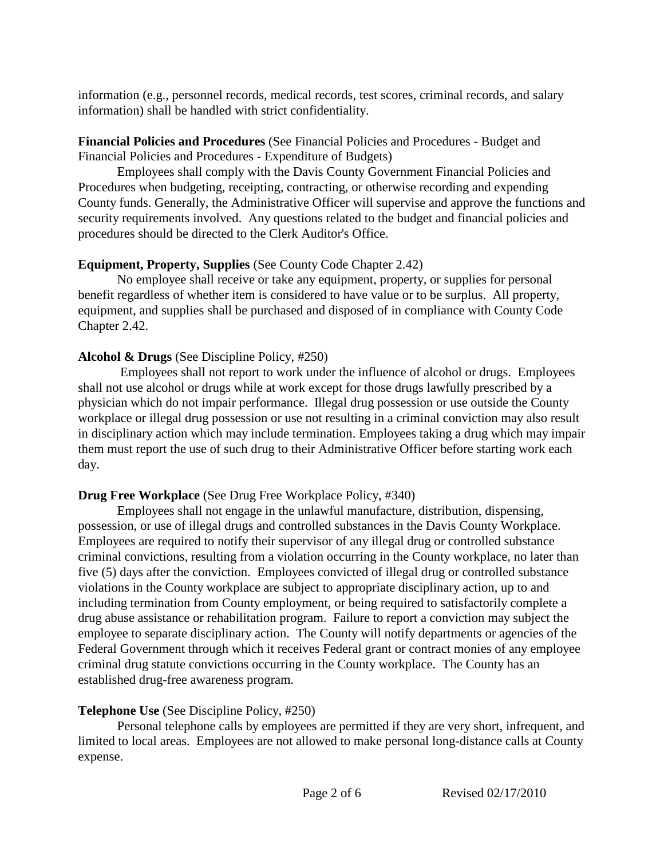information (e.g., personnel records, medical records, test scores, criminal records, and salary information) shall be handled with strict confidentiality.

## **Financial Policies and Procedures** (See Financial Policies and Procedures - Budget and Financial Policies and Procedures - Expenditure of Budgets)

Employees shall comply with the Davis County Government Financial Policies and Procedures when budgeting, receipting, contracting, or otherwise recording and expending County funds. Generally, the Administrative Officer will supervise and approve the functions and security requirements involved. Any questions related to the budget and financial policies and procedures should be directed to the Clerk Auditor's Office.

# **Equipment, Property, Supplies** (See County Code Chapter 2.42)

No employee shall receive or take any equipment, property, or supplies for personal benefit regardless of whether item is considered to have value or to be surplus. All property, equipment, and supplies shall be purchased and disposed of in compliance with County Code Chapter 2.42.

## **Alcohol & Drugs** (See Discipline Policy, #250)

Employees shall not report to work under the influence of alcohol or drugs. Employees shall not use alcohol or drugs while at work except for those drugs lawfully prescribed by a physician which do not impair performance. Illegal drug possession or use outside the County workplace or illegal drug possession or use not resulting in a criminal conviction may also result in disciplinary action which may include termination. Employees taking a drug which may impair them must report the use of such drug to their Administrative Officer before starting work each day.

# **Drug Free Workplace** (See Drug Free Workplace Policy, #340)

Employees shall not engage in the unlawful manufacture, distribution, dispensing, possession, or use of illegal drugs and controlled substances in the Davis County Workplace. Employees are required to notify their supervisor of any illegal drug or controlled substance criminal convictions, resulting from a violation occurring in the County workplace, no later than five (5) days after the conviction. Employees convicted of illegal drug or controlled substance violations in the County workplace are subject to appropriate disciplinary action, up to and including termination from County employment, or being required to satisfactorily complete a drug abuse assistance or rehabilitation program. Failure to report a conviction may subject the employee to separate disciplinary action. The County will notify departments or agencies of the Federal Government through which it receives Federal grant or contract monies of any employee criminal drug statute convictions occurring in the County workplace. The County has an established drug-free awareness program.

# **Telephone Use** (See Discipline Policy, #250)

Personal telephone calls by employees are permitted if they are very short, infrequent, and limited to local areas. Employees are not allowed to make personal long-distance calls at County expense.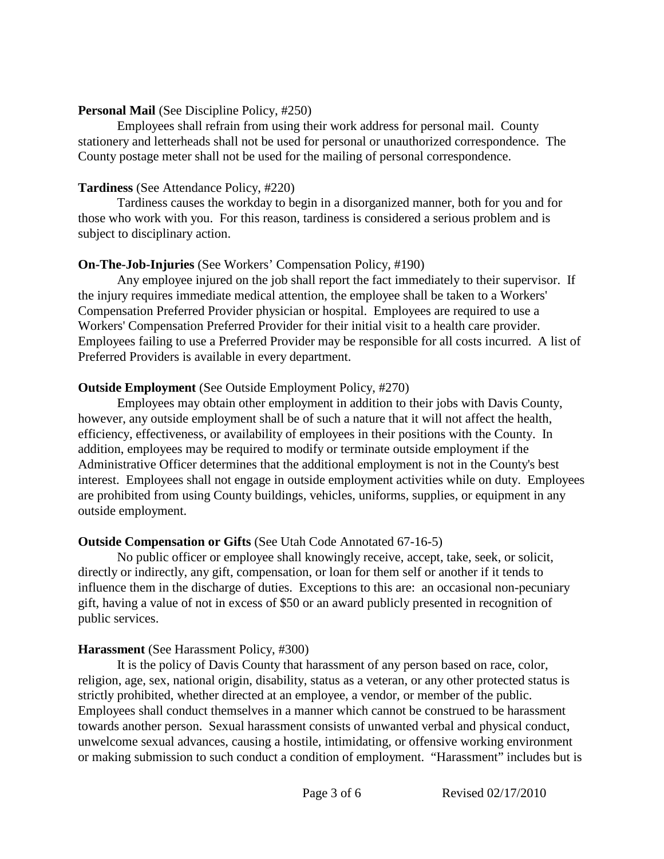#### **Personal Mail** (See Discipline Policy, #250)

Employees shall refrain from using their work address for personal mail. County stationery and letterheads shall not be used for personal or unauthorized correspondence. The County postage meter shall not be used for the mailing of personal correspondence.

## **Tardiness** (See Attendance Policy, #220)

Tardiness causes the workday to begin in a disorganized manner, both for you and for those who work with you. For this reason, tardiness is considered a serious problem and is subject to disciplinary action.

## **On-The-Job-Injuries** (See Workers' Compensation Policy, #190)

Any employee injured on the job shall report the fact immediately to their supervisor. If the injury requires immediate medical attention, the employee shall be taken to a Workers' Compensation Preferred Provider physician or hospital. Employees are required to use a Workers' Compensation Preferred Provider for their initial visit to a health care provider. Employees failing to use a Preferred Provider may be responsible for all costs incurred. A list of Preferred Providers is available in every department.

## **Outside Employment** (See Outside Employment Policy, #270)

Employees may obtain other employment in addition to their jobs with Davis County, however, any outside employment shall be of such a nature that it will not affect the health, efficiency, effectiveness, or availability of employees in their positions with the County. In addition, employees may be required to modify or terminate outside employment if the Administrative Officer determines that the additional employment is not in the County's best interest. Employees shall not engage in outside employment activities while on duty. Employees are prohibited from using County buildings, vehicles, uniforms, supplies, or equipment in any outside employment.

## **Outside Compensation or Gifts** (See Utah Code Annotated 67-16-5)

No public officer or employee shall knowingly receive, accept, take, seek, or solicit, directly or indirectly, any gift, compensation, or loan for them self or another if it tends to influence them in the discharge of duties. Exceptions to this are: an occasional non-pecuniary gift, having a value of not in excess of \$50 or an award publicly presented in recognition of public services.

# **Harassment** (See Harassment Policy, #300)

It is the policy of Davis County that harassment of any person based on race, color, religion, age, sex, national origin, disability, status as a veteran, or any other protected status is strictly prohibited, whether directed at an employee, a vendor, or member of the public. Employees shall conduct themselves in a manner which cannot be construed to be harassment towards another person. Sexual harassment consists of unwanted verbal and physical conduct, unwelcome sexual advances, causing a hostile, intimidating, or offensive working environment or making submission to such conduct a condition of employment. "Harassment" includes but is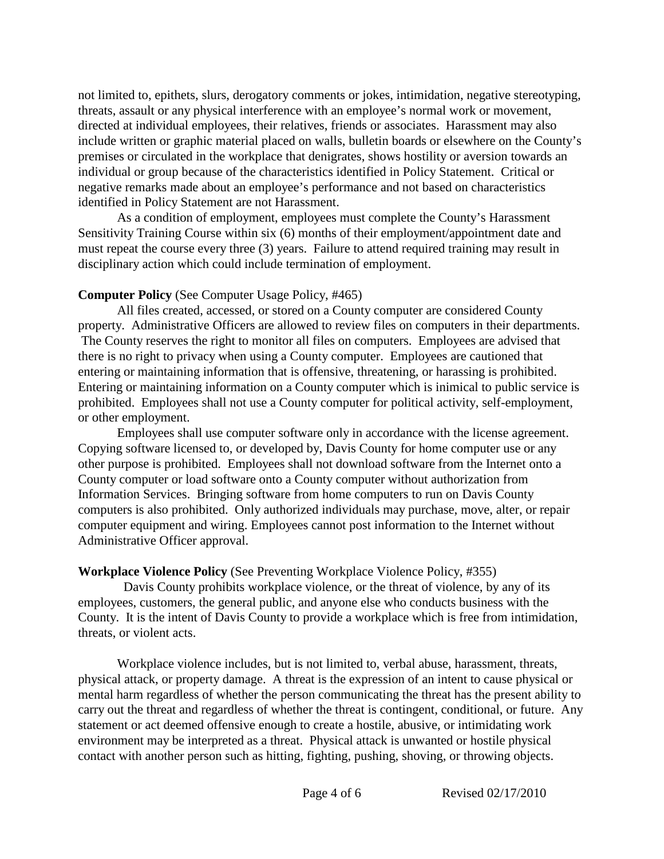not limited to, epithets, slurs, derogatory comments or jokes, intimidation, negative stereotyping, threats, assault or any physical interference with an employee's normal work or movement, directed at individual employees, their relatives, friends or associates. Harassment may also include written or graphic material placed on walls, bulletin boards or elsewhere on the County's premises or circulated in the workplace that denigrates, shows hostility or aversion towards an individual or group because of the characteristics identified in Policy Statement. Critical or negative remarks made about an employee's performance and not based on characteristics identified in Policy Statement are not Harassment.

As a condition of employment, employees must complete the County's Harassment Sensitivity Training Course within six (6) months of their employment/appointment date and must repeat the course every three (3) years. Failure to attend required training may result in disciplinary action which could include termination of employment.

## **Computer Policy** (See Computer Usage Policy, #465)

All files created, accessed, or stored on a County computer are considered County property. Administrative Officers are allowed to review files on computers in their departments. The County reserves the right to monitor all files on computers. Employees are advised that there is no right to privacy when using a County computer. Employees are cautioned that entering or maintaining information that is offensive, threatening, or harassing is prohibited. Entering or maintaining information on a County computer which is inimical to public service is prohibited. Employees shall not use a County computer for political activity, self-employment, or other employment.

Employees shall use computer software only in accordance with the license agreement. Copying software licensed to, or developed by, Davis County for home computer use or any other purpose is prohibited. Employees shall not download software from the Internet onto a County computer or load software onto a County computer without authorization from Information Services. Bringing software from home computers to run on Davis County computers is also prohibited. Only authorized individuals may purchase, move, alter, or repair computer equipment and wiring. Employees cannot post information to the Internet without Administrative Officer approval.

## **Workplace Violence Policy** (See Preventing Workplace Violence Policy, #355)

Davis County prohibits workplace violence, or the threat of violence, by any of its employees, customers, the general public, and anyone else who conducts business with the County. It is the intent of Davis County to provide a workplace which is free from intimidation, threats, or violent acts.

Workplace violence includes, but is not limited to, verbal abuse, harassment, threats, physical attack, or property damage. A threat is the expression of an intent to cause physical or mental harm regardless of whether the person communicating the threat has the present ability to carry out the threat and regardless of whether the threat is contingent, conditional, or future. Any statement or act deemed offensive enough to create a hostile, abusive, or intimidating work environment may be interpreted as a threat. Physical attack is unwanted or hostile physical contact with another person such as hitting, fighting, pushing, shoving, or throwing objects.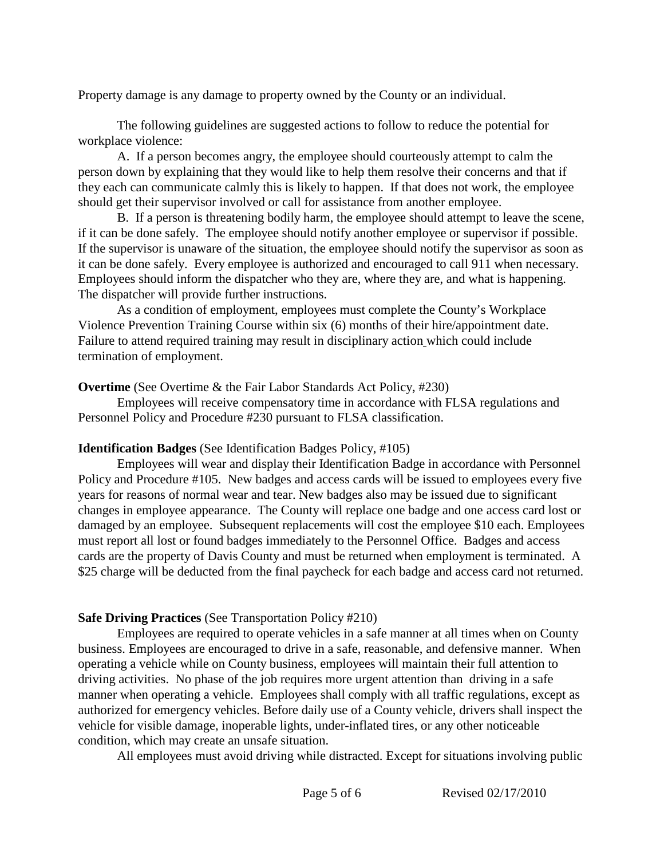Property damage is any damage to property owned by the County or an individual.

The following guidelines are suggested actions to follow to reduce the potential for workplace violence:

A. If a person becomes angry, the employee should courteously attempt to calm the person down by explaining that they would like to help them resolve their concerns and that if they each can communicate calmly this is likely to happen. If that does not work, the employee should get their supervisor involved or call for assistance from another employee.

B. If a person is threatening bodily harm, the employee should attempt to leave the scene, if it can be done safely. The employee should notify another employee or supervisor if possible. If the supervisor is unaware of the situation, the employee should notify the supervisor as soon as it can be done safely. Every employee is authorized and encouraged to call 911 when necessary. Employees should inform the dispatcher who they are, where they are, and what is happening. The dispatcher will provide further instructions.

As a condition of employment, employees must complete the County's Workplace Violence Prevention Training Course within six (6) months of their hire/appointment date. Failure to attend required training may result in disciplinary action which could include termination of employment.

**Overtime** (See Overtime & the Fair Labor Standards Act Policy, #230)

Employees will receive compensatory time in accordance with FLSA regulations and Personnel Policy and Procedure #230 pursuant to FLSA classification.

## **Identification Badges** (See Identification Badges Policy, #105)

Employees will wear and display their Identification Badge in accordance with Personnel Policy and Procedure #105. New badges and access cards will be issued to employees every five years for reasons of normal wear and tear. New badges also may be issued due to significant changes in employee appearance. The County will replace one badge and one access card lost or damaged by an employee. Subsequent replacements will cost the employee \$10 each. Employees must report all lost or found badges immediately to the Personnel Office.Badges and access cards are the property of Davis County and must be returned when employment is terminated. A \$25 charge will be deducted from the final paycheck for each badge and access card not returned.

# **Safe Driving Practices** (See Transportation Policy #210)

Employees are required to operate vehicles in a safe manner at all times when on County business. Employees are encouraged to drive in a safe, reasonable, and defensive manner. When operating a vehicle while on County business, employees will maintain their full attention to driving activities. No phase of the job requires more urgent attention than driving in a safe manner when operating a vehicle. Employees shall comply with all traffic regulations, except as authorized for emergency vehicles. Before daily use of a County vehicle, drivers shall inspect the vehicle for visible damage, inoperable lights, under-inflated tires, or any other noticeable condition, which may create an unsafe situation.

All employees must avoid driving while distracted. Except for situations involving public